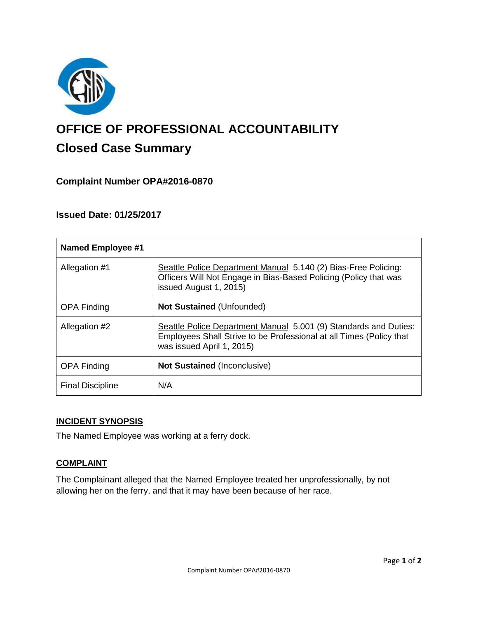

# **OFFICE OF PROFESSIONAL ACCOUNTABILITY Closed Case Summary**

# **Complaint Number OPA#2016-0870**

## **Issued Date: 01/25/2017**

| <b>Named Employee #1</b> |                                                                                                                                                                      |
|--------------------------|----------------------------------------------------------------------------------------------------------------------------------------------------------------------|
| Allegation #1            | Seattle Police Department Manual 5.140 (2) Bias-Free Policing:<br>Officers Will Not Engage in Bias-Based Policing (Policy that was<br>issued August 1, 2015)         |
| <b>OPA Finding</b>       | <b>Not Sustained (Unfounded)</b>                                                                                                                                     |
| Allegation #2            | Seattle Police Department Manual 5.001 (9) Standards and Duties:<br>Employees Shall Strive to be Professional at all Times (Policy that<br>was issued April 1, 2015) |
| <b>OPA Finding</b>       | <b>Not Sustained (Inconclusive)</b>                                                                                                                                  |
| <b>Final Discipline</b>  | N/A                                                                                                                                                                  |

## **INCIDENT SYNOPSIS**

The Named Employee was working at a ferry dock.

#### **COMPLAINT**

The Complainant alleged that the Named Employee treated her unprofessionally, by not allowing her on the ferry, and that it may have been because of her race.